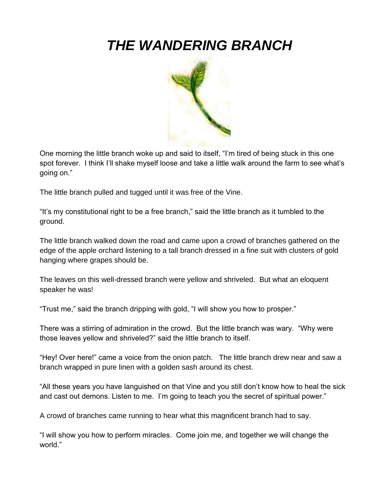## *THE WANDERING BRANCH*



One morning the little branch woke up and said to itself, "I'm tired of being stuck in this one spot forever. I think I'll shake myself loose and take a little walk around the farm to see what's going on."

The little branch pulled and tugged until it was free of the Vine.

"It's my constitutional right to be a free branch," said the little branch as it tumbled to the ground.

The little branch walked down the road and came upon a crowd of branches gathered on the edge of the apple orchard listening to a tall branch dressed in a fine suit with clusters of gold hanging where grapes should be.

The leaves on this well-dressed branch were yellow and shriveled. But what an eloquent speaker he was!

"Trust me," said the branch dripping with gold, "I will show you how to prosper."

There was a stirring of admiration in the crowd. But the little branch was wary. "Why were those leaves yellow and shriveled?" said the little branch to itself.

"Hey! Over here!" came a voice from the onion patch. The little branch drew near and saw a branch wrapped in pure linen with a golden sash around its chest.

"All these years you have languished on that Vine and you still don't know how to heal the sick and cast out demons. Listen to me. I'm going to teach you the secret of spiritual power."

A crowd of branches came running to hear what this magnificent branch had to say.

"I will show you how to perform miracles. Come join me, and together we will change the world."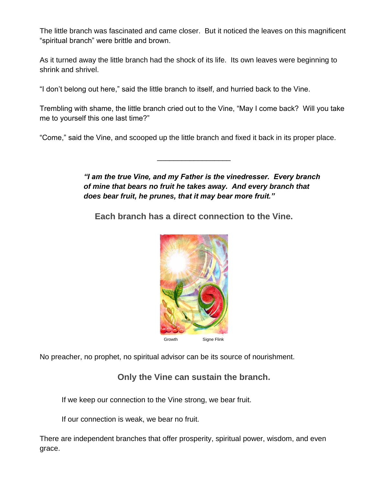The little branch was fascinated and came closer. But it noticed the leaves on this magnificent "spiritual branch" were brittle and brown.

As it turned away the little branch had the shock of its life. Its own leaves were beginning to shrink and shrivel.

"I don't belong out here," said the little branch to itself, and hurried back to the Vine.

Trembling with shame, the little branch cried out to the Vine, "May I come back? Will you take me to yourself this one last time?"

\_\_\_\_\_\_\_\_\_\_\_\_\_\_\_\_\_\_

"Come," said the Vine, and scooped up the little branch and fixed it back in its proper place.

*"I am the true Vine, and my Father is the vinedresser. Every branch of mine that bears no fruit he takes away. And every branch that does bear fruit, he prunes, that it may bear more fruit."*

**Each branch has a direct connection to the Vine.** 



No preacher, no prophet, no spiritual advisor can be its source of nourishment.

## **Only the Vine can sustain the branch.**

If we keep our connection to the Vine strong, we bear fruit.

If our connection is weak, we bear no fruit.

There are independent branches that offer prosperity, spiritual power, wisdom, and even grace.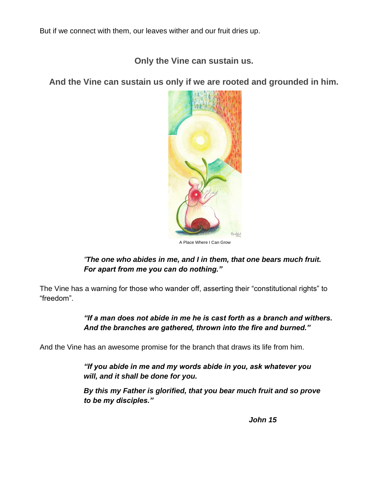But if we connect with them, our leaves wither and our fruit dries up.

**Only the Vine can sustain us.**

**And the Vine can sustain us only if we are rooted and grounded in him.** 



## *"The one who abides in me, and I in them, that one bears much fruit. For apart from me you can do nothing."*

The Vine has a warning for those who wander off, asserting their "constitutional rights" to "freedom".

> *"If a man does not abide in me he is cast forth as a branch and withers. And the branches are gathered, thrown into the fire and burned."*

And the Vine has an awesome promise for the branch that draws its life from him.

*"If you abide in me and my words abide in you, ask whatever you will, and it shall be done for you.*

*By this my Father is glorified, that you bear much fruit and so prove to be my disciples."*

*John 15*